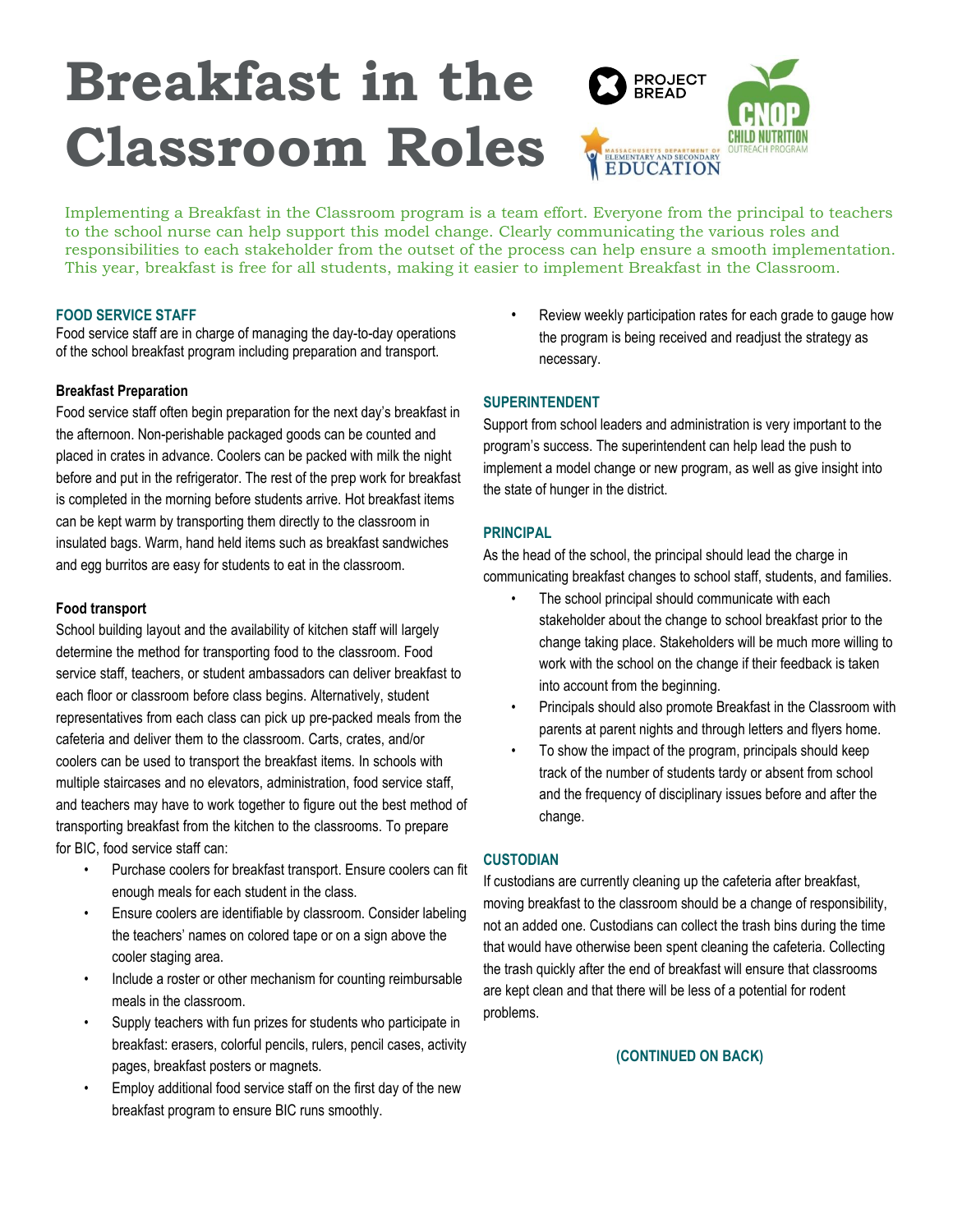## **Breakfast in the PROJECT<br>BREAD Classroom Roles** MASSACHUSETTS DEPARTMENT OF ELEMENTARY AND SECONDARY

Implementing a Breakfast in the Classroom program is a team effort. Everyone from the principal to teachers to the school nurse can help support this model change. Clearly communicating the various roles and responsibilities to each stakeholder from the outset of the process can help ensure a smooth implementation. This year, breakfast is free for all students, making it easier to implement Breakfast in the Classroom.

#### **FOOD SERVICE STAFF**

Food service staff are in charge of managing the day-to-day operations of the school breakfast program including preparation and transport.

#### **Breakfast Preparation**

Food service staff often begin preparation for the next day's breakfast in the afternoon. Non-perishable packaged goods can be counted and placed in crates in advance. Coolers can be packed with milk the night before and put in the refrigerator. The rest of the prep work for breakfast is completed in the morning before students arrive. Hot breakfast items can be kept warm by transporting them directly to the classroom in insulated bags. Warm, hand held items such as breakfast sandwiches and egg burritos are easy for students to eat in the classroom.

#### **Food transport**

School building layout and the availability of kitchen staff will largely determine the method for transporting food to the classroom. Food service staff, teachers, or student ambassadors can deliver breakfast to each floor or classroom before class begins. Alternatively, student representatives from each class can pick up pre-packed meals from the cafeteria and deliver them to the classroom. Carts, crates, and/or coolers can be used to transport the breakfast items. In schools with multiple staircases and no elevators, administration, food service staff, and teachers may have to work together to figure out the best method of transporting breakfast from the kitchen to the classrooms. To prepare for BIC, food service staff can:

- Purchase coolers for breakfast transport. Ensure coolers can fit enough meals for each student in the class.
- Ensure coolers are identifiable by classroom. Consider labeling the teachers' names on colored tape or on a sign above the cooler staging area.
- Include a roster or other mechanism for counting reimbursable meals in the classroom.
- Supply teachers with fun prizes for students who participate in breakfast: erasers, colorful pencils, rulers, pencil cases, activity pages, breakfast posters or magnets.
- Employ additional food service staff on the first day of the new breakfast program to ensure BIC runs smoothly.

Review weekly participation rates for each grade to gauge how the program is being received and readjust the strategy as necessary.

## **SUPERINTENDENT**

Support from school leaders and administration is very important to the program's success. The superintendent can help lead the push to implement a model change or new program, as well as give insight into the state of hunger in the district.

#### **PRINCIPAL**

As the head of the school, the principal should lead the charge in communicating breakfast changes to school staff, students, and families.

- The school principal should communicate with each stakeholder about the change to school breakfast prior to the change taking place. Stakeholders will be much more willing to work with the school on the change if their feedback is taken into account from the beginning.
- Principals should also promote Breakfast in the Classroom with parents at parent nights and through letters and flyers home.
- To show the impact of the program, principals should keep track of the number of students tardy or absent from school and the frequency of disciplinary issues before and after the change.

#### **CUSTODIAN**

If custodians are currently cleaning up the cafeteria after breakfast, moving breakfast to the classroom should be a change of responsibility, not an added one. Custodians can collect the trash bins during the time that would have otherwise been spent cleaning the cafeteria. Collecting the trash quickly after the end of breakfast will ensure that classrooms are kept clean and that there will be less of a potential for rodent problems.

#### **(CONTINUED ON BACK)**